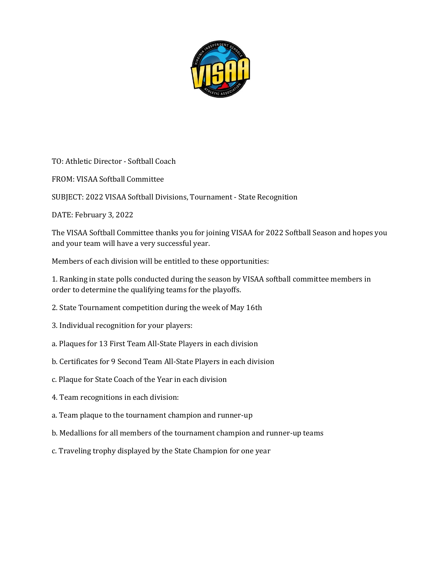

TO: Athletic Director - Softball Coach

FROM: VISAA Softball Committee

SUBJECT: 2022 VISAA Softball Divisions, Tournament - State Recognition

DATE: February 3, 2022

The VISAA Softball Committee thanks you for joining VISAA for 2022 Softball Season and hopes you and your team will have a very successful year.

Members of each division will be entitled to these opportunities:

1. Ranking in state polls conducted during the season by VISAA softball committee members in order to determine the qualifying teams for the playoffs.

- 2. State Tournament competition during the week of May 16th
- 3. Individual recognition for your players:
- a. Plaques for 13 First Team All-State Players in each division
- b. Certificates for 9 Second Team All-State Players in each division
- c. Plaque for State Coach of the Year in each division
- 4. Team recognitions in each division:
- a. Team plaque to the tournament champion and runner-up
- b. Medallions for all members of the tournament champion and runner-up teams
- c. Traveling trophy displayed by the State Champion for one year